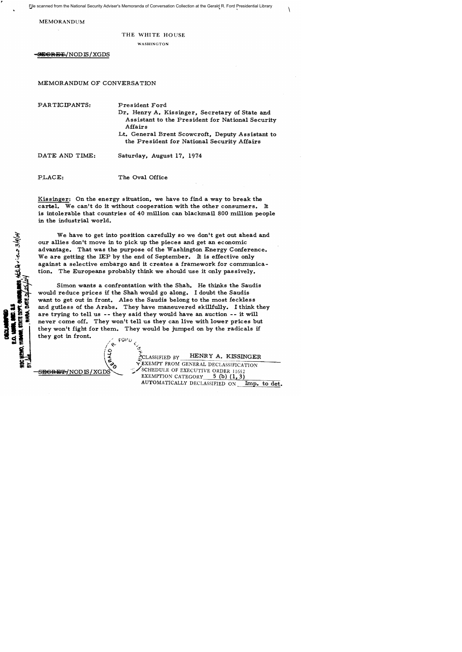File scanned from the National Security Adviser's Memoranda of Conversation Collection at the Gerald R. Ford Presidential Library

 $\overline{y}$ 

MEMORANDUM

## THE WHITE HOUSE

WASHINGTON

**\*EGRET/NODIS/XGDS** 

MEMORANDUM OF CONVERSATION

PARTICIPANTS: DATE AND TIME: President Ford Dr. Henry A. Kissinger, Secretary of State and Assistant to the President for National Security Affairs Lt. General Brent Scowcroft, Deputy Assistant to the President for National Security Affairs Saturday, August 17, 1974

PLACE: The Oval Office

Kissinger: On the energy situation, we have to find a way to break the cartel. We can't do it without cooperation with the other consumers. It is intolerable that countries of  $40$  million can blackmail 800 million people in the industrial world.

We have to get into position carefully so we don't get out ahead and our allies don't move in to pick up the pieces and get an economic advantage. That was the purpose of the Washington Energy Conference. We are getting the IEP by the end of September. It is effective only against a selective embargo and it creates a framework for communication. The Europeans probably think we should use it only passively.

Simon wants a confrontation with the Shah. He thinks the Saudis would reduce prices if the Shah would go along. I doubt the Saudis want to get out in front. Also the Saudis belong to the most feckless and gutless of the Arabs. They have maneuvered skillfully. I think they are trying to tell us -- they said they would have an auction -- it will never come off. They won't tell us they can live with lower prices but they won't fight for them. They would be jumped on by the radicals if they got in front.



 $CLASSIFIED BY$  HENRY A. KISSINGER  $\widetilde{\mathbf{r}}$  EXEMPT FROM GENERAL DECLASSIFICATION  $S$ EGRET/NODIS/XGDS EXEMPTION CATEGORY 5 (b) (1,3) EXEMPTION CATEGORY AUTOMATICALLY DECLASSIFIED ON Imp. to det.

**MES SILLA** view 3/9/04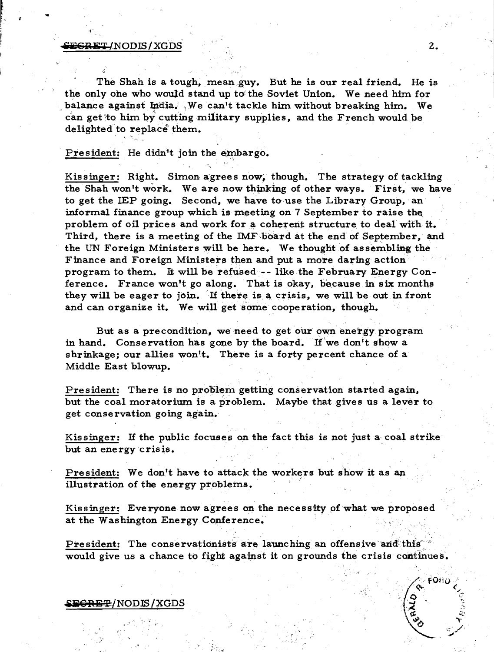#### $SESRET/NODIS/XGDS$  and  $2.$

r.

The Shah is a tough, mean guy. But he is our real friend. He is the only ohe who would stand up to the Soviet Union. We need him for balance against India. We can't tackle him without breaking him. We can get to him by cutting military supplies, and the French would be delighted to replace them.

"

President: He didn't join the embargo.

Kissinger: Right. Simon agrees now, though. The strategy of tackling the Shah won't work. We are now thinking of other ways. First, we have to get the IEP going. Second, we have to use the Library Group, an informal finance group which is meeting on 7 September to raise the, problem of oil prices and work for a coherent structure to deal with it. Third, there is a meeting of the IMF board at the end of September, and the UN Foreign Ministers will be here. We thought of assembling the Finance and Foreign Ministers then and put a more daring action' program to them. It will berefused-- like the February Energy Conference. France won1t go along. That is okay, because in six months they will be eager to join. If there is a crisis, we will be out in front and can organize it. We will get some cooperation, though.

But as a precondition, we need to get our own energy program in hand. Conservation has gone by the board. If we don't show a shrinkage; our allies won't. There is a forty percent chance of a Middle East blowup.

President: There is no problem getting conservation started again, but the coal moratorium is a problem. Maybe that gives us a lever to get conservation going again.,

Kissinger: If the public focuses on the fact this is not just a coal strike but an energy crisis.

President: We don't have to attack the workers but show it as an illustration of the energy problems.

Kissinger: Everyone now agrees on the necessity of what we proposed at the Washington Energy Conference.

President: The conservationists are launching an offensive and this" would give us a chance to fight against it on grounds the crisis continues.

## $~$ *SEGRE* $\oplus$ *NODIS/XGDS*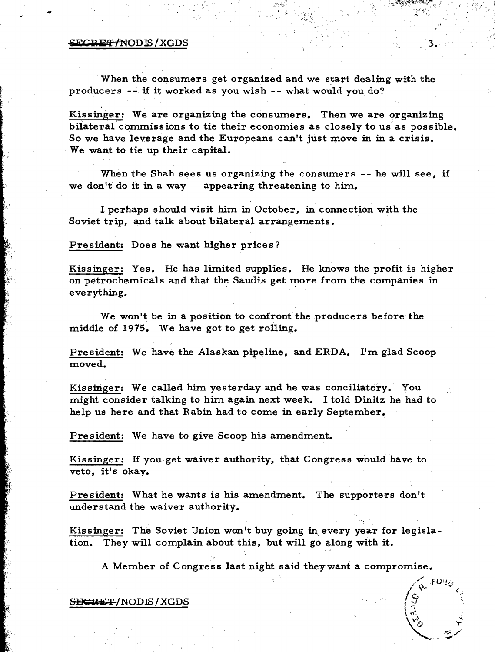### SECRET/NODIS/XGDS

,

..

When the consumers get organized and we start dealing with the producers -- if it worked as you wish - - what would you do?

Kissinger: We are organizing the consumers. Then we are organizing bilateral commissions to tie their economies as closely to us' as possible, So we have leverage and the Europeans can't just move in in a crisis. We want to tie up their capital.

 $3$ .

 $\sqrt{\mathrm{e}}$  FOHD  $\sqrt{9}$   $\approx$   $\sqrt{3}$ 

 $\sqrt{2}$  ,  $\sim$  $\sum_{i=1}^N\mathbb{E}_{\mathbf{z}}$ 

I ::::

When the Shah sees us organizing the consumers -- he will see, if we don't do it in a way appearing threatening to him.

I perhaps should visit him in October, in connection with the Soviet trip, and talk about bilateral arrangements.

President: Does he want higher prices?

Kissinger: Yes. He has limited supplies. He knows the profit is higher on petrochemicals and that the Saudis get more from the companies in everything.

We won't be in a position to confront the producers before the middle of 1975. We have got to get rolling.

President: We have the Alaskan pipeJine, and ERDA. I'm glad Scoop moved.

Kissinger: We called him yesterday and he was conciliatory. You might consider talking to him again next week. I told Dinitz he had to help us here and that Rabin had to come in early September.

President: We have to give Scoop his amendment.

Kissinger: If you get waiver authority, that Congress would have to veto, it's okay.

President: What he wants is his amendment. The supporters don't understand the waiver authority.

Kissinger: The Soviet Union won't buy going in, every year for legislation. They will complain about this, but will go along with it.

A Member of Congress last night said theywant a compromise.

S<del>DCRET</del>/NODIS/XGDS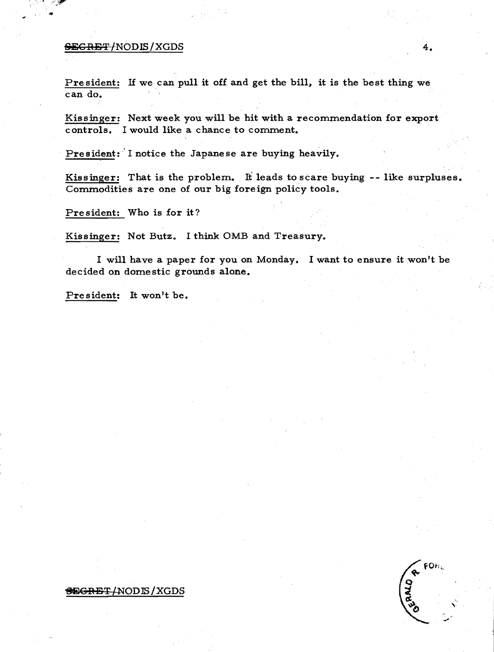# -se;C:ABT/NODIS/XGDS 4.

..

President: If we can pull it off and get the bill, it is the best thing we can do.

Kissinger: Next week you will be hit with a recommendation for export controls. I would like a chance to comment.

President: I notice the Japanese are buying heavily.

Kissinger: That is the problem. It leads to scare buying -- like surpluses. Commodities are one of our big foreign policy tools.

President: Who is for it?

Kissinger: Not Butz. I think OMB and Treasury.

I will have a paper for you on Monday. I want to ensure it won't be decided on domestic grounds alone.

President: It won't be.

## **SEGRET/NODIS/XGDS**

FOhc **REARD**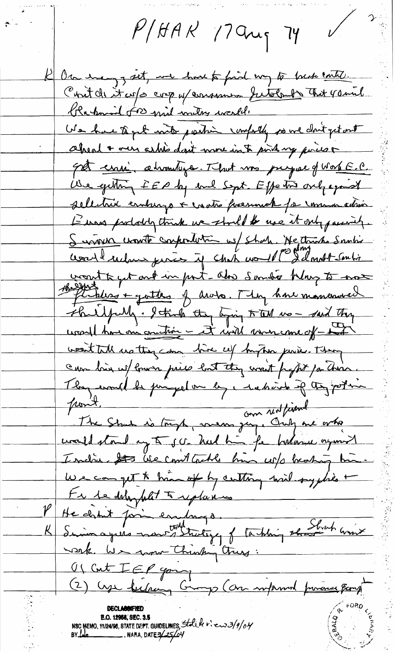$P/HAK$  17 ang 74

On every get, we have to find my to break contro. Cont de it us a cop y consumer futolent that yound Krahamil 500 mil milos world. We have to get into partir confortly point don't get out ahead + our askis dont nove into point my poison 50 cense abroadings. That was prejuded work E.C. We getting EEP by buil Sept. Effective only aparel sellitric emburgo + crato poemnat for commo adsin L'une prototytoint un stould be use it ont passion. Surviva wonte confination we shak. He thinks Santis World subme juries if chik would I I don't soutis want to get ont in port-also Sandio Klay to not Philoso + gatter of arobo. They have maneraved shullpully. I truly they ligning to tell we - said they ural har m'autrir - ét unit moncome ofwest tall us they can hive up hyper puise. They can loin w/ lower price but they want fraght for these. They would be peropelan by, redesire if they poten point. 1.1 com rent journe de la comme de la fin de la processe civaled stand any to get held him for horlange organized I such to the court tackle has up broking him. We can get to him of by certain with syphia + te le délaphat à replance He chant point embarge.<br>Suimagues montghutige of tarking the Strahamix wark. We want Chinking Church Of Cut I EP gaing **E.O. 12088, SEC. 3.6**<br>NSC MEMO, 11/24/98, STATE DEPT. GUIDELINES, State R:  $\frac{1}{6}$  R  $\frac{1}{25}$  Ry Late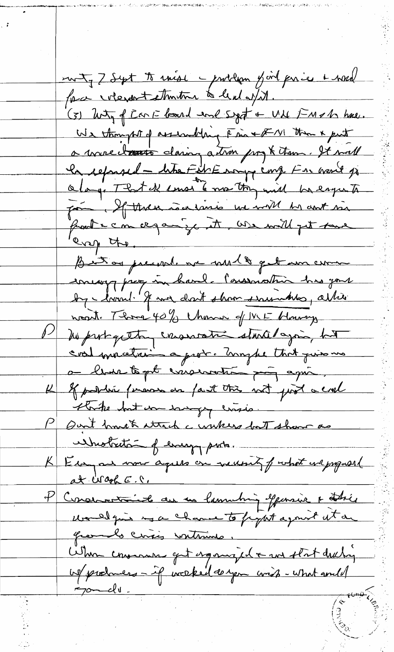met, 7 Sept to raise - problem y oil par ier & word force interport ethintime to lead of it. (3) Wity of Can E looked and sight + UN FMOM have. We thought of assembly Fine + XVI than & put a mure dans dans autres prof them. It will le separal - lite Fili Essay cong. For veril je faire. If there is a limit we will be ant in front com ce qan ige it we will get tane every the. But as present an met & get un com encoy pres in hard. Conservation his pour by - laval. I was don't show series has ablient noat. Those 40% Chance of W.E Haway he probagatte consumation stanted again, hat a leur text esseination pays agrée. K of politic ferrom on faut this not just a crel thrike but you savingly crisis. P Quit brusk strach a wakers but show as unbutation of energy parts. K Essen au vous aques on nevent prohat en proposal at Wagh E.C. P Conservative au me lamenting opparaire a thée presents circis vontains. When consume get agonized a us stat duching  $70 - d\theta$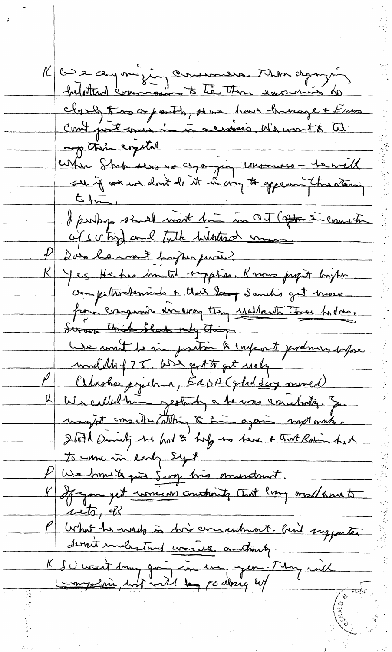K Co e ce y mi jug comment Thin agay in class this or porth, some have hunage + Emmes<br>Cont post mus in in censions, We wont to the p this crystal where Shop was no ce, anging imamures - te will  $5h$ I perhaps should most bin in OT (after the count the of subject that whatson messes P Due he ment propra paris K Yes. He has brouted typises. Knows profit boyton competitivehamicals & that day Samuli's get brose from comprise un every they usellowsthe them hodres, Swam Thick Shad only thing Le mait les me partir à injoint produins dapose modelle of 75. We get to get usely Celasher printer, EdDA (glad sing moved) K We called him gestordy a to was concerning. Some waynt consideration to him again mystanik. glott brought to had & holy are have + tout Rain had to come in early syst P We hmite quie Sing his eminetant. K I am get womens constants that Pray would home to with, ell What he wads is his concertaint. Give supporter dernit includion worked anthony. 15 SU weent 1mm going som energy em . Mong mill